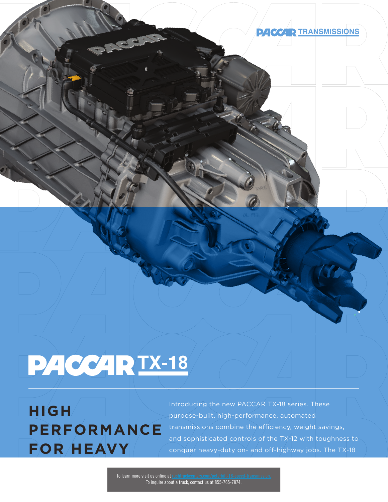

## **824 CCAR TX-18**

**HIGH PERFORMANCE FOR HEAVY** 

Introducing the new PACCAR TX-18 series. These purpose-built, high-performance, automated transmissions combine the efficiency, weight savings, and sophisticated controls of the TX-12 with toughness to conquer heavy-duty on- and off-highway jobs. The TX-18

To learn more visit us online at To inquire about a truck, contact us at 855-765-7874.